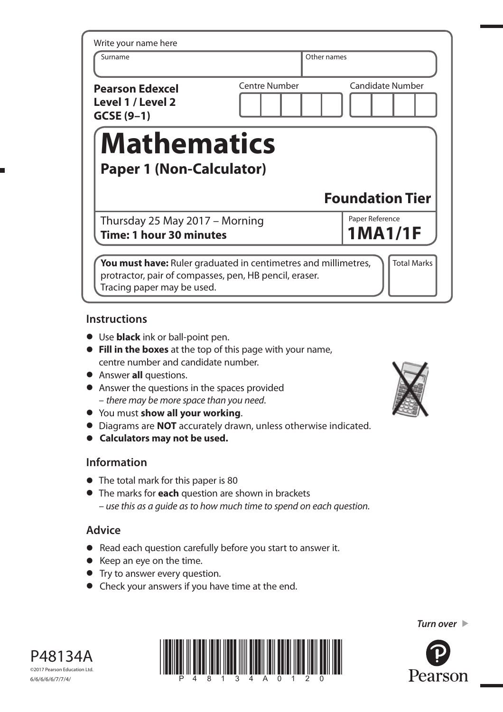| Write your name here<br>Surname                            |                                                 |  |
|------------------------------------------------------------|-------------------------------------------------|--|
|                                                            | Other names                                     |  |
| <b>Pearson Edexcel</b><br>Level 1 / Level 2<br>$GCSE(9-1)$ | <b>Centre Number</b><br><b>Candidate Number</b> |  |
|                                                            |                                                 |  |
| <b>Mathematics</b><br><b>Paper 1 (Non-Calculator)</b>      |                                                 |  |
|                                                            | <b>Foundation Tier</b>                          |  |
| Thursday 25 May 2017 - Morning                             | Paper Reference<br><b>1MA1/1F</b>               |  |

## **Instructions**

- **•** Use **black** ink or ball-point pen.
- **• Fill in the boxes** at the top of this page with your name, centre number and candidate number.
- **•** Answer **all** questions.
- **•** Answer the questions in the spaces provided – there may be more space than you need.
- **•** You must **show all your working**.
- **•** Diagrams are **NOT** accurately drawn, unless otherwise indicated.
- **• Calculators may not be used.**

## **Information**

- **•** The total mark for this paper is 80
- **•** The marks for **each** question are shown in brackets – use this as a guide as to how much time to spend on each question.

# **Advice**

- **•** Read each question carefully before you start to answer it.
- Read each question caref<br>• Keep an eye on the time. • Keep an eye on the time.<br>• Try to answer every question.
- 
- **•** Check your answers if you have time at the end.









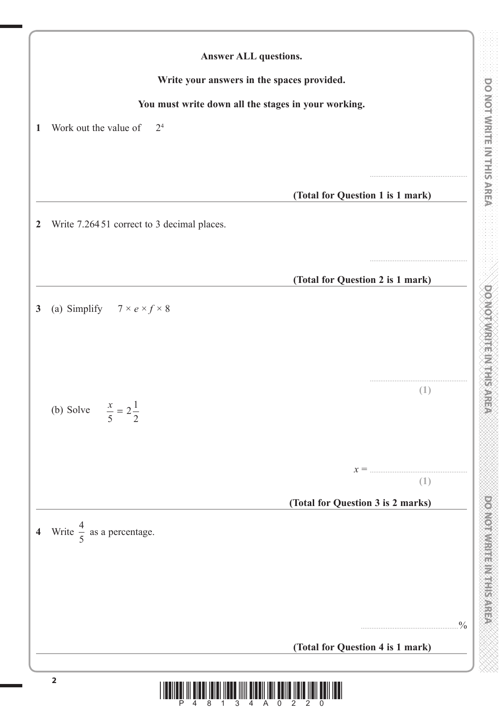DOWNWRITEIN/HEISPIRA

1000 pm

| <b>Answer ALL questions.</b>                            |                                   |  |  |  |  |
|---------------------------------------------------------|-----------------------------------|--|--|--|--|
| Write your answers in the spaces provided.              |                                   |  |  |  |  |
| You must write down all the stages in your working.     |                                   |  |  |  |  |
| Work out the value of<br>2 <sup>4</sup>                 |                                   |  |  |  |  |
|                                                         |                                   |  |  |  |  |
|                                                         |                                   |  |  |  |  |
|                                                         | (Total for Question 1 is 1 mark)  |  |  |  |  |
| Write 7.26451 correct to 3 decimal places.              |                                   |  |  |  |  |
|                                                         |                                   |  |  |  |  |
|                                                         | (Total for Question 2 is 1 mark)  |  |  |  |  |
|                                                         |                                   |  |  |  |  |
| (a) Simplify $7 \times e \times f \times 8$             |                                   |  |  |  |  |
|                                                         |                                   |  |  |  |  |
|                                                         |                                   |  |  |  |  |
|                                                         | (1)                               |  |  |  |  |
| (b) Solve $\frac{x}{2} = 2\frac{1}{2}$<br>5<br>$\angle$ |                                   |  |  |  |  |
|                                                         |                                   |  |  |  |  |
|                                                         |                                   |  |  |  |  |
|                                                         | (1)                               |  |  |  |  |
|                                                         | (Total for Question 3 is 2 marks) |  |  |  |  |
| 4 Write $\frac{4}{5}$ as a percentage.                  |                                   |  |  |  |  |
|                                                         |                                   |  |  |  |  |
|                                                         |                                   |  |  |  |  |
|                                                         |                                   |  |  |  |  |
|                                                         |                                   |  |  |  |  |
|                                                         | (Total for Question 4 is 1 mark)  |  |  |  |  |
| $\overline{\mathbf{2}}$                                 |                                   |  |  |  |  |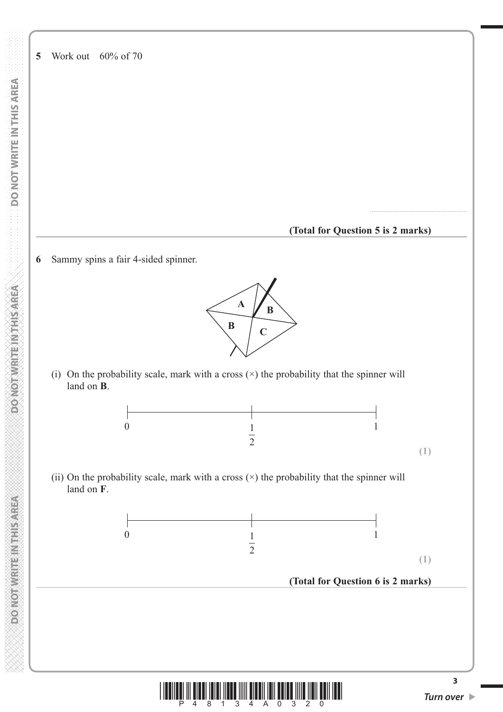**POINCIRES RESINGED** 

**5** Work out 60% of 70

#### **(Total for Question 5 is 2 marks)**

.......................................................

**(1)**

**6** Sammy spins a fair 4-sided spinner.



(i) On the probability scale, mark with a cross  $(\times)$  the probability that the spinner will land on **B**.



(ii) On the probability scale, mark with a cross  $(\times)$  the probability that the spinner will land on **F**.



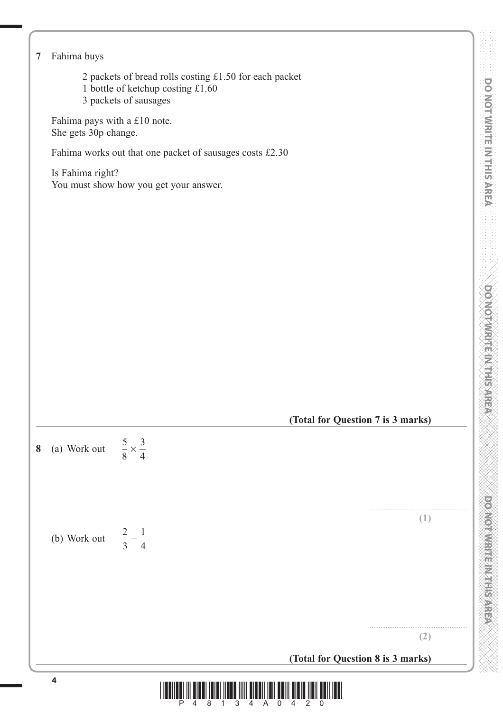|                                                      | 2 packets of bread rolls costing £1.50 for each packet   |                                   |
|------------------------------------------------------|----------------------------------------------------------|-----------------------------------|
| 3 packets of sausages                                | 1 bottle of ketchup costing £1.60                        |                                   |
| Fahima pays with a £10 note.<br>She gets 30p change. |                                                          |                                   |
|                                                      | Fahima works out that one packet of sausages costs £2.30 |                                   |
| Is Fahima right?                                     | You must show how you get your answer.                   |                                   |
|                                                      |                                                          |                                   |
| $rac{5}{8} \times \frac{3}{4}$<br>(a) Work out<br>8  |                                                          | (Total for Question 7 is 3 marks) |
| $rac{2}{3} - \frac{1}{4}$<br>(b) Work out            |                                                          | (1)                               |
|                                                      |                                                          | (2)                               |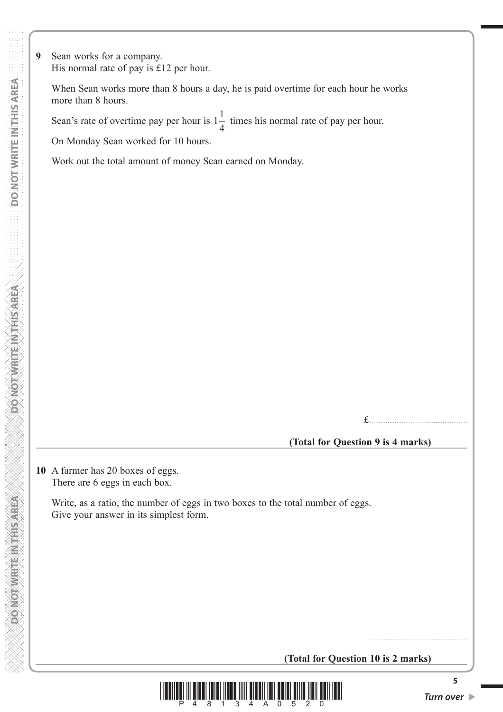**9** Sean works for a company. His normal rate of pay is £12 per hour.

 When Sean works more than 8 hours a day, he is paid overtime for each hour he works more than 8 hours.

Sean's rate of overtime pay per hour is  $1\frac{1}{1}$  $\frac{1}{4}$  times his normal rate of pay per hour.

On Monday Sean worked for 10 hours.

Work out the total amount of money Sean earned on Monday.

£.......................................................

## **(Total for Question 9 is 4 marks)**

**10** A farmer has 20 boxes of eggs. There are 6 eggs in each box.

> Write, as a ratio, the number of eggs in two boxes to the total number of eggs. Give your answer in its simplest form.

> > **(Total for Question 10 is 2 marks)**



.......................................................

**5**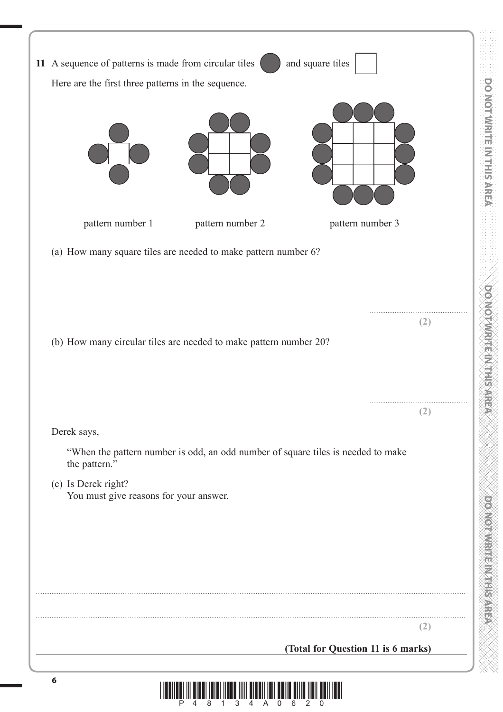| 11 A sequence of patterns is made from circular tiles             |                                                                                  | and square tiles                   |
|-------------------------------------------------------------------|----------------------------------------------------------------------------------|------------------------------------|
| Here are the first three patterns in the sequence.                |                                                                                  |                                    |
| pattern number 1                                                  | pattern number 2                                                                 | pattern number 3                   |
| (a) How many square tiles are needed to make pattern number 6?    |                                                                                  |                                    |
|                                                                   |                                                                                  |                                    |
|                                                                   |                                                                                  | (2)                                |
| (b) How many circular tiles are needed to make pattern number 20? |                                                                                  |                                    |
| Derek says,                                                       |                                                                                  | (2)                                |
| the pattern."                                                     | "When the pattern number is odd, an odd number of square tiles is needed to make |                                    |
| (c) Is Derek right?<br>You must give reasons for your answer.     |                                                                                  |                                    |
|                                                                   |                                                                                  |                                    |
|                                                                   |                                                                                  |                                    |
|                                                                   |                                                                                  |                                    |
|                                                                   |                                                                                  | (2)                                |
|                                                                   |                                                                                  | (Total for Question 11 is 6 marks) |
| 6                                                                 | <u> I II DILLIN DILLIN METRIMI DILLIN DILLIN DILLIN DILLIN DILL</u>              |                                    |

1000 pm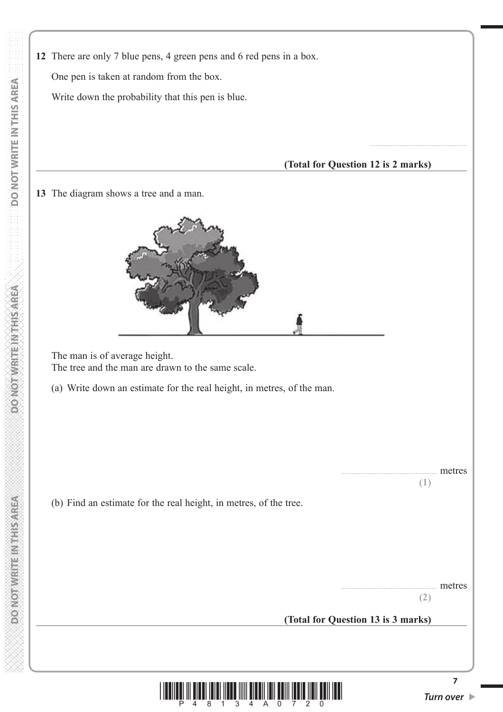**12** There are only 7 blue pens, 4 green pens and 6 red pens in a box. One pen is taken at random from the box. **DO NOT WRITE IN THIS AREA DO NOT WRITE IN THIS AREA DO NOT WRITE IN THIS AREA DO NOT WRITE IN THIS AREA DO NOT WRITE IN THIS AREA DO NOT**  Write down the probability that this pen is blue.  **(Total for Question 12 is 2 marks) 13** The diagram shows a tree and a man. **ASSASS HAVE LEAVED AND**  The man is of average height. The tree and the man are drawn to the same scale. (a) Write down an estimate for the real height, in metres, of the man. **MONOTHER REPAIRING CONFORM** (b) Find an estimate for the real height, in metres, of the tree.

.......................................................

**(2)**

... metres

**(1)**

**(Total for Question 13 is 3 marks)**



**7**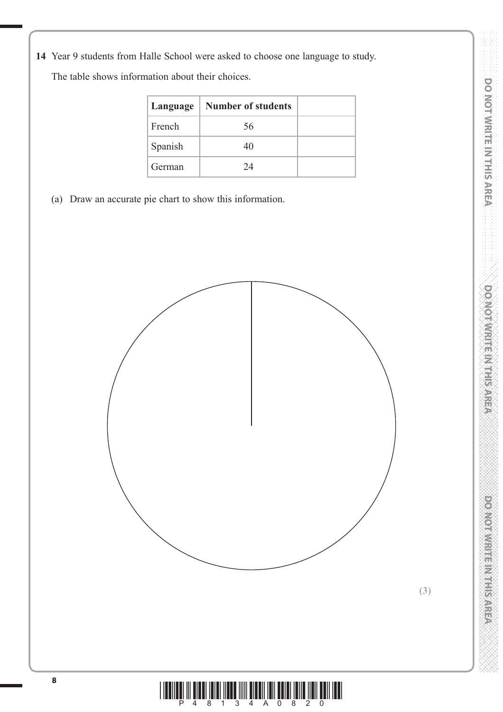**14** Year 9 students from Halle School were asked to choose one language to study.

The table shows information about their choices.

| Language | <b>Number of students</b> |  |
|----------|---------------------------|--|
| French   | 56                        |  |
| Spanish  | 40                        |  |
| German   | 24                        |  |

(a) Draw an accurate pie chart to show this information.



postos musical contractor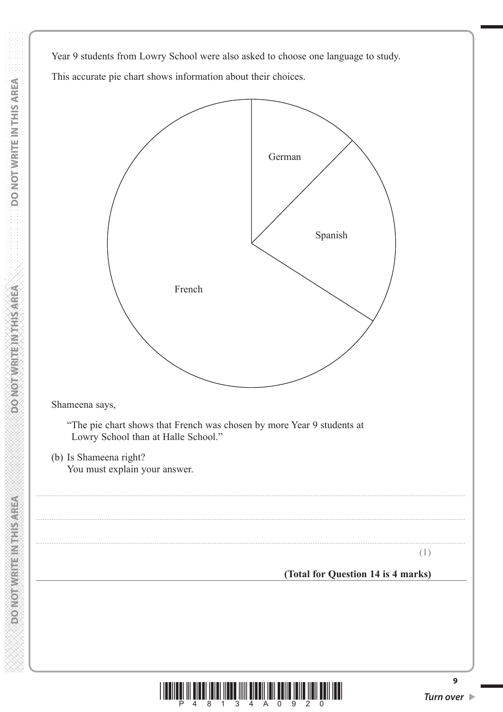Year 9 students from Lowry School were also asked to choose one language to study. This accurate pie chart shows information about their choices.





**9**

**DONOT WRITEINTHIS AREA**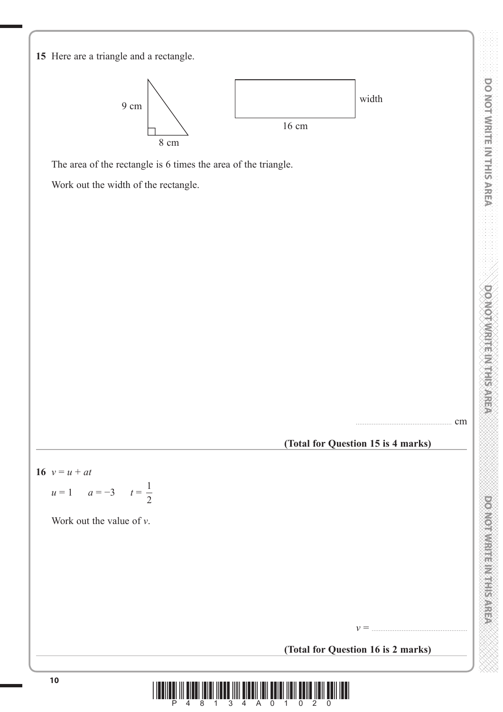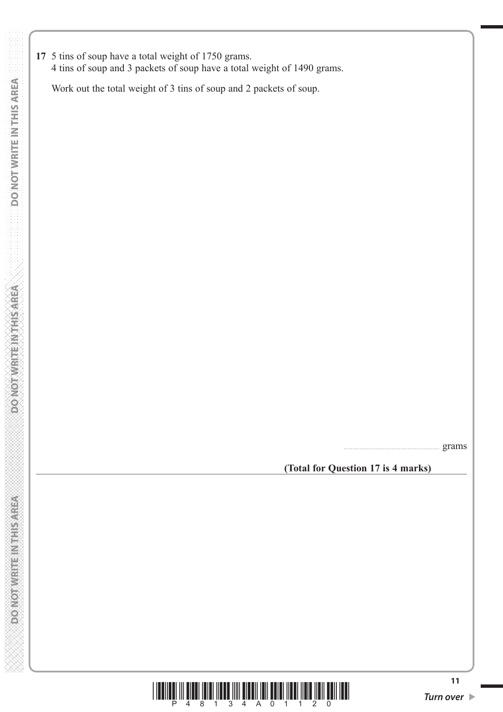**17** 5 tins of soup have a total weight of 1750 grams. 4 tins of soup and 3 packets of soup have a total weight of 1490 grams.

Work out the total weight of 3 tins of soup and 2 packets of soup.

...................................................... grams

**(Total for Question 17 is 4 marks)**

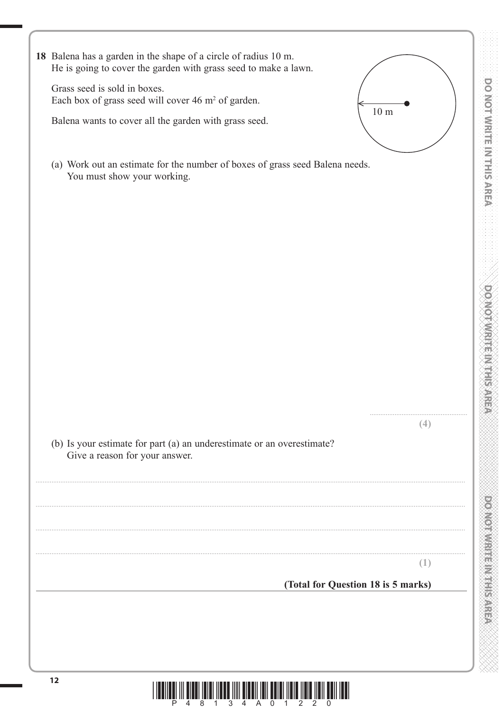|  | DO NOT WRITE IN THIS AREA CONCORDING TO MOTOR WRITER AND ARREA |  |  |  |  |
|--|----------------------------------------------------------------|--|--|--|--|
|  |                                                                |  |  |  |  |
|  |                                                                |  |  |  |  |
|  |                                                                |  |  |  |  |
|  |                                                                |  |  |  |  |
|  |                                                                |  |  |  |  |
|  |                                                                |  |  |  |  |
|  |                                                                |  |  |  |  |
|  |                                                                |  |  |  |  |
|  |                                                                |  |  |  |  |
|  |                                                                |  |  |  |  |
|  |                                                                |  |  |  |  |
|  |                                                                |  |  |  |  |
|  |                                                                |  |  |  |  |
|  |                                                                |  |  |  |  |
|  |                                                                |  |  |  |  |
|  |                                                                |  |  |  |  |
|  |                                                                |  |  |  |  |
|  |                                                                |  |  |  |  |
|  |                                                                |  |  |  |  |
|  |                                                                |  |  |  |  |
|  |                                                                |  |  |  |  |
|  |                                                                |  |  |  |  |
|  |                                                                |  |  |  |  |
|  |                                                                |  |  |  |  |
|  |                                                                |  |  |  |  |
|  |                                                                |  |  |  |  |
|  |                                                                |  |  |  |  |
|  |                                                                |  |  |  |  |
|  |                                                                |  |  |  |  |
|  |                                                                |  |  |  |  |
|  |                                                                |  |  |  |  |
|  |                                                                |  |  |  |  |
|  |                                                                |  |  |  |  |
|  |                                                                |  |  |  |  |
|  |                                                                |  |  |  |  |

**OT WRITE IN THIS AREA** 

| 18 Balena has a garden in the shape of a circle of radius 10 m.<br>He is going to cover the garden with grass seed to make a lawn. |     |
|------------------------------------------------------------------------------------------------------------------------------------|-----|
| Grass seed is sold in boxes.<br>Each box of grass seed will cover 46 m <sup>2</sup> of garden.                                     |     |
| 10 <sub>m</sub><br>Balena wants to cover all the garden with grass seed.                                                           |     |
| (a) Work out an estimate for the number of boxes of grass seed Balena needs.<br>You must show your working.                        |     |
|                                                                                                                                    |     |
|                                                                                                                                    |     |
|                                                                                                                                    |     |
|                                                                                                                                    |     |
|                                                                                                                                    |     |
|                                                                                                                                    |     |
|                                                                                                                                    |     |
| (b) Is your estimate for part (a) an underestimate or an overestimate?<br>Give a reason for your answer.                           | (4) |
|                                                                                                                                    |     |
|                                                                                                                                    |     |
|                                                                                                                                    |     |
| (Total for Question 18 is 5 marks)                                                                                                 | (1) |
|                                                                                                                                    |     |

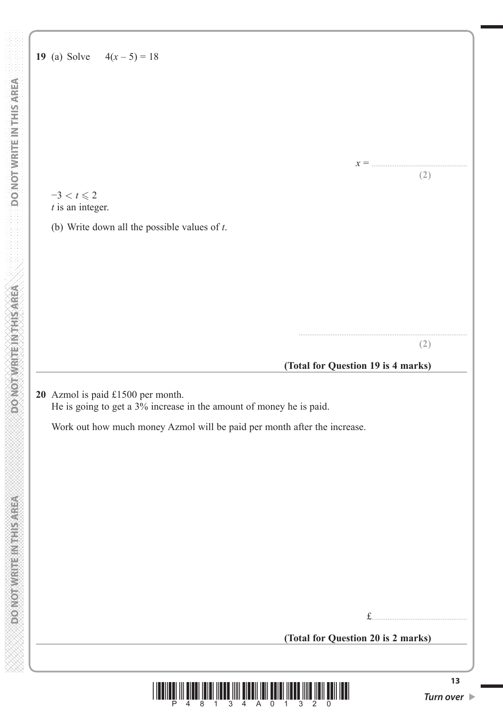$-3 < t \le 2$ *t* is an integer.

(b) Write down all the possible values of *t*.

## **(Total for Question 19 is 4 marks)**

...............................................................................................

*x* = ......................................................

**(2)**

**(2)**

**20** Azmol is paid £1500 per month. He is going to get a 3% increase in the amount of money he is paid.

Work out how much money Azmol will be paid per month after the increase.

£......................................................

 **(Total for Question 20 is 2 marks)**



**DONOTHER ETHINGS** 

**DO NOT WRITE IN THIS AREA**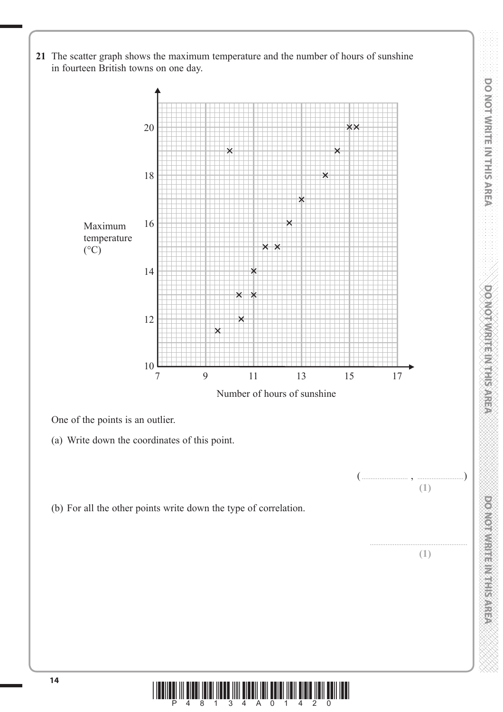**21** The scatter graph shows the maximum temperature and the number of hours of sunshine in fourteen British towns on one day. 20  $\boldsymbol{\mathsf{x}}\boldsymbol{\mathsf{x}}$ 18 16 Maximum temperature  $(^{\circ}C)$ 14  $\pmb{\times}$  $\boldsymbol{\times}$ 12  $\frac{10}{7}$ 7 9 11 13 15 17 Number of hours of sunshine One of the points is an outlier. (a) Write down the coordinates of this point. ( .......................... , ..........................) **(1)** (b) For all the other points write down the type of correlation. ....................................................... **(1)**

**DO NOT WRITE IN THIS AREA DO NOT WRITE IN THIS AREA DO NOT WRITE IN THIS AREA DO NOT WRITE IN THIS AREA DO NOT WRITE IN THIS AREA DO NOT WRITE IN THIS AREA DO NOT WRITE IN THIS AREA DO NOT WRITE IN THIS AREA DO NOT WRITE** 

**DOMOTAMRITE IN THE SARED** 

**DO NOTIVE THE METHODS AREA** 

DO NOT WRITE IN THIS AREA

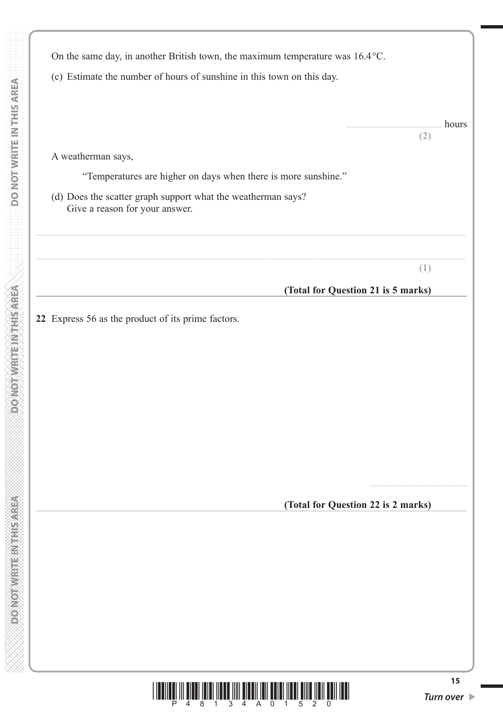|                                                                                                | On the same day, in another British town, the maximum temperature was 16.4 °C. |                  |
|------------------------------------------------------------------------------------------------|--------------------------------------------------------------------------------|------------------|
| (c) Estimate the number of hours of sunshine in this town on this day.                         |                                                                                |                  |
|                                                                                                |                                                                                | hours            |
| A weatherman says,                                                                             |                                                                                | (2)              |
|                                                                                                | "Temperatures are higher on days when there is more sunshine."                 |                  |
| (d) Does the scatter graph support what the weatherman says?<br>Give a reason for your answer. |                                                                                |                  |
|                                                                                                |                                                                                | $\left(1\right)$ |
|                                                                                                | (Total for Question 21 is 5 marks)                                             |                  |
|                                                                                                |                                                                                |                  |
|                                                                                                |                                                                                |                  |
|                                                                                                | (Total for Question 22 is 2 marks)                                             |                  |
|                                                                                                |                                                                                |                  |
|                                                                                                |                                                                                |                  |
|                                                                                                |                                                                                |                  |

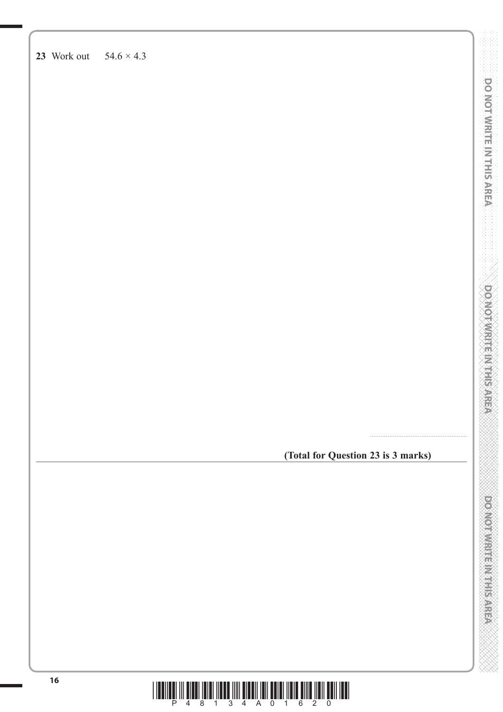**23** Work out 54.6 × 4.3

**(Total for Question 23 is 3 marks)**

.......................................................

**DOMORWRITE MITHSTERN** 

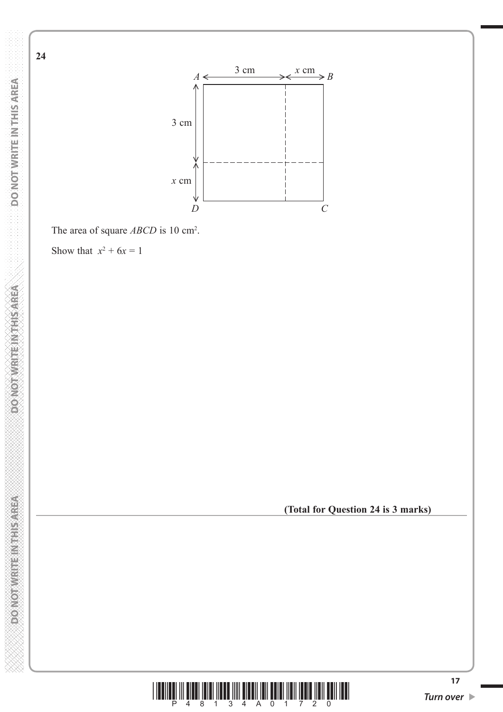

**DO NOT WRITE IN THIS AREA** 

**PONORWATE IN THIS AREA** 

**(Total for Question 24 is 3 marks)**

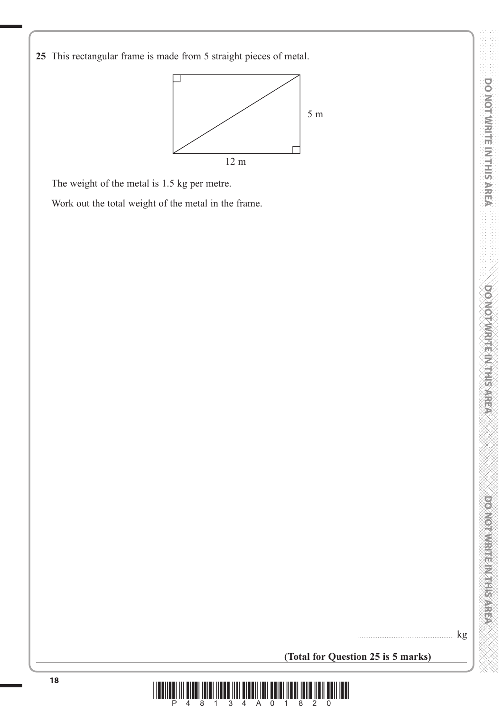**25** This rectangular frame is made from 5 straight pieces of metal.



The weight of the metal is 1.5 kg per metre.

Work out the total weight of the metal in the frame.

 $\mathbf{kg}$ 

**(Total for Question 25 is 5 marks)**

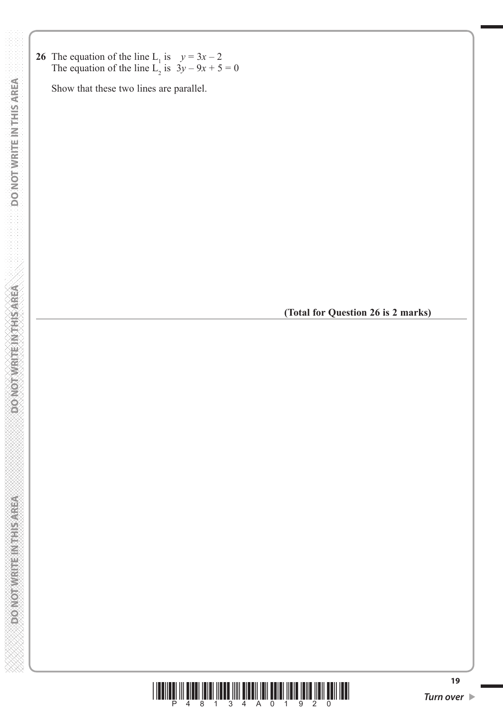**26** The equation of the line  $L_1$  is  $y = 3x - 2$ The equation of the line  $L_2$  is  $3y - 9x + 5 = 0$ 

Show that these two lines are parallel.

**(Total for Question 26 is 2 marks)**



**19**